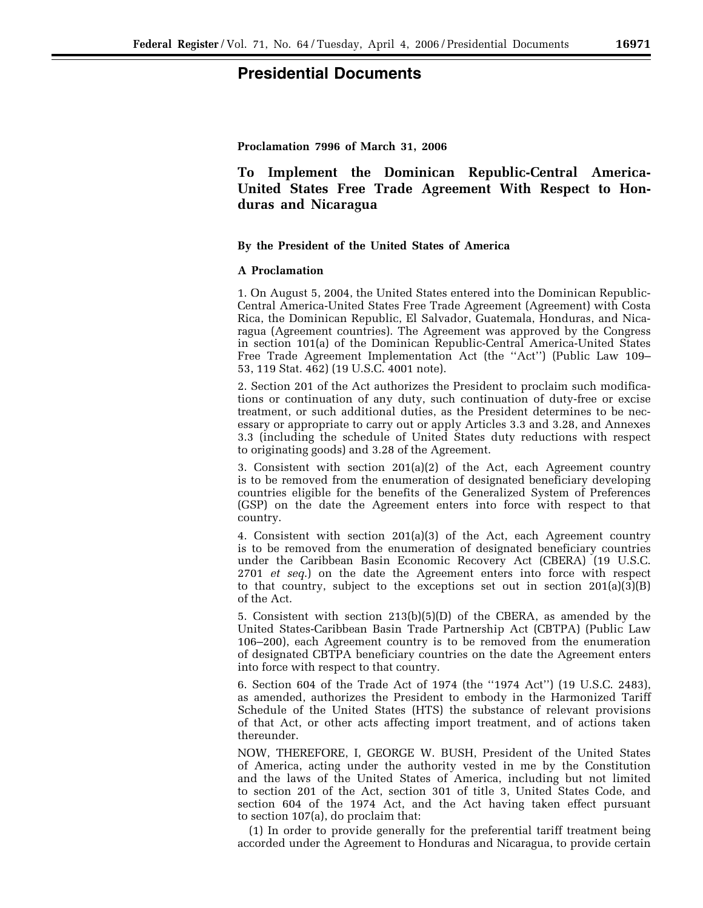## **Presidential Documents**

**Proclamation 7996 of March 31, 2006** 

# **To Implement the Dominican Republic-Central America-United States Free Trade Agreement With Respect to Honduras and Nicaragua**

## **By the President of the United States of America**

## **A Proclamation**

1. On August 5, 2004, the United States entered into the Dominican Republic-Central America-United States Free Trade Agreement (Agreement) with Costa Rica, the Dominican Republic, El Salvador, Guatemala, Honduras, and Nicaragua (Agreement countries). The Agreement was approved by the Congress in section 101(a) of the Dominican Republic-Central America-United States Free Trade Agreement Implementation Act (the ''Act'') (Public Law 109– 53, 119 Stat. 462) (19 U.S.C. 4001 note).

2. Section 201 of the Act authorizes the President to proclaim such modifications or continuation of any duty, such continuation of duty-free or excise treatment, or such additional duties, as the President determines to be necessary or appropriate to carry out or apply Articles 3.3 and 3.28, and Annexes 3.3 (including the schedule of United States duty reductions with respect to originating goods) and 3.28 of the Agreement.

3. Consistent with section 201(a)(2) of the Act, each Agreement country is to be removed from the enumeration of designated beneficiary developing countries eligible for the benefits of the Generalized System of Preferences (GSP) on the date the Agreement enters into force with respect to that country.

4. Consistent with section 201(a)(3) of the Act, each Agreement country is to be removed from the enumeration of designated beneficiary countries under the Caribbean Basin Economic Recovery Act (CBERA) (19 U.S.C. 2701 *et seq*.) on the date the Agreement enters into force with respect to that country, subject to the exceptions set out in section  $201(a)(3)(B)$ of the Act.

5. Consistent with section 213(b)(5)(D) of the CBERA, as amended by the United States-Caribbean Basin Trade Partnership Act (CBTPA) (Public Law 106–200), each Agreement country is to be removed from the enumeration of designated CBTPA beneficiary countries on the date the Agreement enters into force with respect to that country.

6. Section 604 of the Trade Act of 1974 (the ''1974 Act'') (19 U.S.C. 2483), as amended, authorizes the President to embody in the Harmonized Tariff Schedule of the United States (HTS) the substance of relevant provisions of that Act, or other acts affecting import treatment, and of actions taken thereunder.

NOW, THEREFORE, I, GEORGE W. BUSH, President of the United States of America, acting under the authority vested in me by the Constitution and the laws of the United States of America, including but not limited to section 201 of the Act, section 301 of title 3, United States Code, and section 604 of the 1974 Act, and the Act having taken effect pursuant to section 107(a), do proclaim that:

(1) In order to provide generally for the preferential tariff treatment being accorded under the Agreement to Honduras and Nicaragua, to provide certain